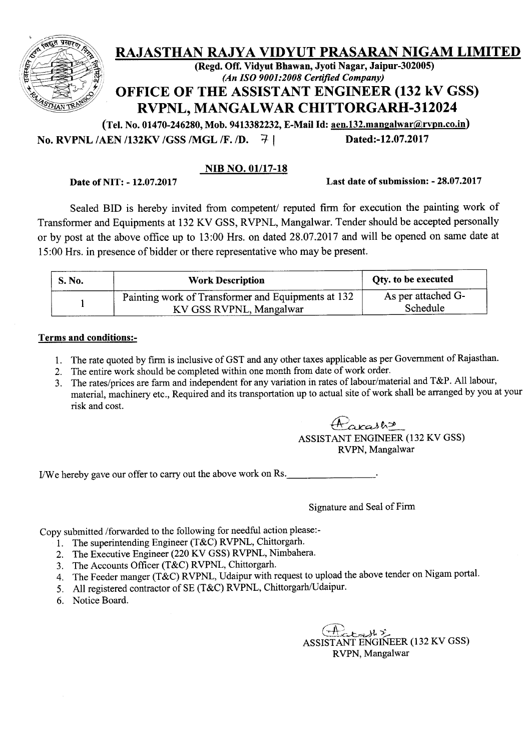

No. RVPNL /AEN /132KV /GSS /MGL /F. /D. 7 | Dated:-12.07.2017

### NIB NO. 01/17-18

Date of NIT: - 12.07.2017 Last date of submission: - 28.07.2017

Sealed BID is hereby invited from competent/ reputed firm for execution the painting work of Transformer and Equipments at 132 KV GSS, RVPNL, Mangalwar. Tender should be accepted personally or by post at the above office up to 13:00 Hrs. on dated 28.07.2017 and will be opened on same date at 15:00 Hrs. in presence of bidder or there representative who may be present.

| <b>S. No.</b> | <b>Work Description</b>                            | <b>Qty.</b> to be executed |  |  |
|---------------|----------------------------------------------------|----------------------------|--|--|
|               | Painting work of Transformer and Equipments at 132 | As per attached G-         |  |  |
|               | KV GSS RVPNL, Mangalwar                            | Schedule                   |  |  |

#### Terms and conditions:-

- 1. The rate quoted by firm is inclusive of GST and any other taxes applicable as per Government of Rajasthan.
- 2. The entire work should be completed within one month from date of work order.
- 3. The rates/prices are farm and independent for any variation in rates of labour/material and T&P. All labour, material, machinery etc., Required and its transportation up to actual site of work shall be arranged by you at your risk and cost.

*~.uca.Je...~* ASSISTANT ENGINEER (132 KV GSS) RVPN, Mangalwar

I/We hereby gave our offer to carry out the above work on Rs.

Signature and Seal of Firm

Copy submitted /forwarded to the following for needful action please.-

- 1. The superintending Engineer (T&C) RVPNL, Chittorgarh.
- 2. The Executive Engineer (220 KV GSS) RVPNL, Nimbahera.
- 3. The Accounts Officer (T&C) RVPNL, Chittorgarh.
- 4. The Feeder manger (T&C) RVPNL, Udaipur with request to upload the above tender on Nigam portal.
- 5. All registered contractor of SE (T&C) RVPNL, Chittorgarh/Udaipur.
- 6. Notice Board.

 $(A)$ ASSISTANT ENGINEER (132 KV GSS) RVPN, Mangalwar